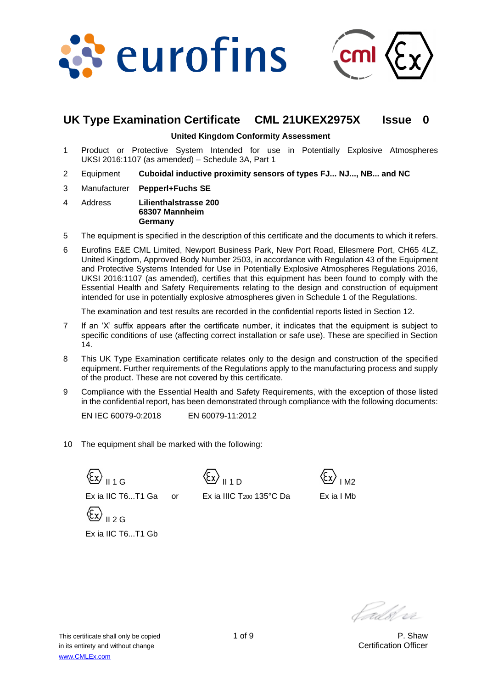



# **UK Type Examination Certificate CML 21UKEX2975X Issue 0**

#### **United Kingdom Conformity Assessment**

- 1 Product or Protective System Intended for use in Potentially Explosive Atmospheres UKSI 2016:1107 (as amended) – Schedule 3A, Part 1
- 2 Equipment **Cuboidal inductive proximity sensors of types FJ... NJ..., NB... and NC**
- 3 Manufacturer **Pepperl+Fuchs SE**
- 4 Address **Lilienthalstrasse 200 68307 Mannheim Germany**
- 5 The equipment is specified in the description of this certificate and the documents to which it refers.
- 6 Eurofins E&E CML Limited, Newport Business Park, New Port Road, Ellesmere Port, CH65 4LZ, United Kingdom, Approved Body Number 2503, in accordance with Regulation 43 of the Equipment and Protective Systems Intended for Use in Potentially Explosive Atmospheres Regulations 2016, UKSI 2016:1107 (as amended), certifies that this equipment has been found to comply with the Essential Health and Safety Requirements relating to the design and construction of equipment intended for use in potentially explosive atmospheres given in Schedule 1 of the Regulations.

The examination and test results are recorded in the confidential reports listed in Section 12.

- 7 If an 'X' suffix appears after the certificate number, it indicates that the equipment is subject to specific conditions of use (affecting correct installation or safe use). These are specified in Section 14.
- 8 This UK Type Examination certificate relates only to the design and construction of the specified equipment. Further requirements of the Regulations apply to the manufacturing process and supply of the product. These are not covered by this certificate.
- 9 Compliance with the Essential Health and Safety Requirements, with the exception of those listed in the confidential report, has been demonstrated through compliance with the following documents:

EN IEC 60079-0:2018 EN 60079-11:2012

10 The equipment shall be marked with the following:

 $\langle \overline{\xi}_x \rangle$   $\vert$  1 1 G Ex ia IIC T6...T1 Ga or  $II 2 G$ Ex ia IIC T6...T1 Gb

II 1 D



Ex ia IIIC T<sup>200</sup> 135°C Da

Ex ia I Mb

t*ads*t vi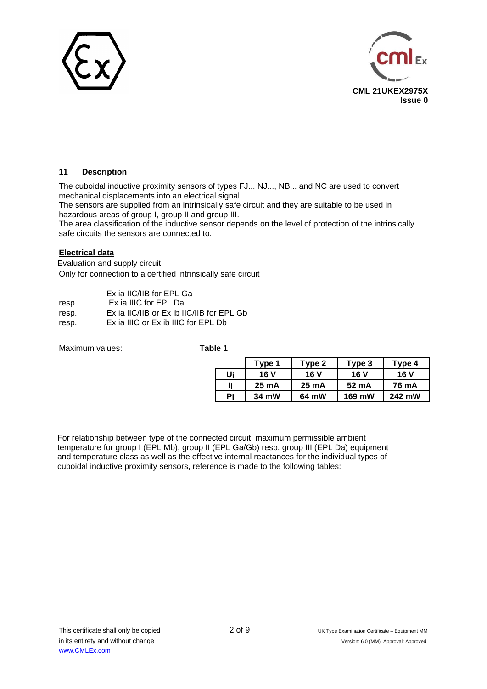



### **11 Description**

The cuboidal inductive proximity sensors of types FJ... NJ..., NB... and NC are used to convert mechanical displacements into an electrical signal.

The sensors are supplied from an intrinsically safe circuit and they are suitable to be used in hazardous areas of group I, group II and group III.

The area classification of the inductive sensor depends on the level of protection of the intrinsically safe circuits the sensors are connected to.

#### **Electrical data**

Evaluation and supply circuit Only for connection to a certified intrinsically safe circuit

| Ex ia IIC/IIB for EPL Ga                  |
|-------------------------------------------|
| Ex ia IIIC for EPL Da                     |
| Ex ia IIC/IIB or Ex ib IIC/IIB for EPL Gb |
| Ex ia IIIC or Ex ib IIIC for EPL Db       |
|                                           |

Maximum values: **Table 1**

|    | Type 1          | Type 2 | Type 3 | Type 4 |
|----|-----------------|--------|--------|--------|
| Ui | 16 V            | 16 V   | 16 V   | 16 V   |
| li | $25 \text{ mA}$ | 25 mA  | 52 mA  | 76 mA  |
| Pi | 34 mW           | 64 mW  | 169 mW | 242 mW |

For relationship between type of the connected circuit, maximum permissible ambient temperature for group I (EPL Mb), group II (EPL Ga/Gb) resp. group III (EPL Da) equipment and temperature class as well as the effective internal reactances for the individual types of cuboidal inductive proximity sensors, reference is made to the following tables: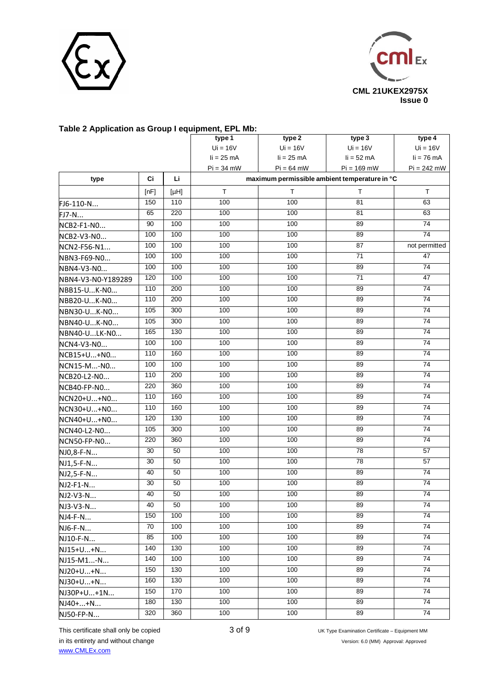



| Table 2 Application as Group Fequipment, EPL MD: |      |      |                            |                                               |                 |                 |
|--------------------------------------------------|------|------|----------------------------|-----------------------------------------------|-----------------|-----------------|
|                                                  |      |      | type 1                     | type 2                                        | type 3          | type 4          |
|                                                  |      |      | $Ui = 16V$<br>$li = 25 mA$ | $Ui = 16V$<br>$li = 25 mA$                    | $Ui = 16V$      | $Ui = 16V$      |
|                                                  |      |      |                            |                                               | $li = 52$ mA    | $li = 76$ mA    |
|                                                  |      |      | $Pi = 34$ mW               | $Pi = 64$ mW                                  | $Pi = 169$ mW   | $Pi = 242$ mW   |
| type                                             | Ci   | Li.  |                            | maximum permissible ambient temperature in °C |                 |                 |
|                                                  | [nF] | [µH] | T.                         | T.                                            | T               | $\top$          |
| FJ6-110-N                                        | 150  | 110  | 100                        | 100                                           | 81              | 63              |
| FJ7-N                                            | 65   | 220  | 100                        | 100                                           | 81              | 63              |
| NCB2-F1-NO                                       | 90   | 100  | 100                        | 100                                           | 89              | $\overline{74}$ |
| NCB2-V3-NO                                       | 100  | 100  | 100                        | 100                                           | 89              | $\overline{74}$ |
| NCN2-F56-N1                                      | 100  | 100  | 100                        | 100                                           | 87              | not permitted   |
| NBN3-F69-NO                                      | 100  | 100  | 100                        | 100                                           | 71              | 47              |
| NBN4-V3-N0                                       | 100  | 100  | 100                        | 100                                           | 89              | 74              |
| NBN4-V3-N0-Y189289                               | 120  | 100  | 100                        | 100                                           | $\overline{71}$ | 47              |
| NBB15-UK-NO                                      | 110  | 200  | 100                        | 100                                           | 89              | 74              |
| NBB20-UK-NO                                      | 110  | 200  | 100                        | 100                                           | 89              | 74              |
| NBN30-UK-NO                                      | 105  | 300  | 100                        | 100                                           | 89              | 74              |
| NBN40-UK-NO                                      | 105  | 300  | 100                        | 100                                           | 89              | 74              |
| NBN40-ULK-NO                                     | 165  | 130  | 100                        | 100                                           | 89              | $\overline{74}$ |
| NCN4-V3-N0                                       | 100  | 100  | 100                        | 100                                           | 89              | $\overline{74}$ |
| NCB15+U+NO                                       | 110  | 160  | 100                        | 100                                           | 89              | 74              |
| NCN15-M-NO                                       | 100  | 100  | 100                        | 100                                           | 89              | 74              |
| NCB20-L2-N0                                      | 110  | 200  | 100                        | 100                                           | 89              | 74              |
| NCB40-FP-NO                                      | 220  | 360  | 100                        | 100                                           | 89              | 74              |
| NCN20+U+NO                                       | 110  | 160  | 100                        | 100                                           | 89              | $\overline{74}$ |
| NCN30+U+NO                                       | 110  | 160  | 100                        | 100                                           | 89              | $\overline{74}$ |
| NCN40+U+NO                                       | 120  | 130  | 100                        | 100                                           | 89              | 74              |
| NCN40-L2-N0                                      | 105  | 300  | 100                        | 100                                           | 89              | 74              |
| NCN50-FP-N0                                      | 220  | 360  | 100                        | 100                                           | 89              | $\overline{74}$ |
| NJ0,8-F-N                                        | 30   | 50   | 100                        | 100                                           | $\overline{78}$ | 57              |
| NJ1,5-F-N                                        | 30   | 50   | 100                        | 100                                           | $\overline{78}$ | 57              |
| NJ2,5-F-N                                        | 40   | 50   | 100                        | 100                                           | 89              | 74              |
| NJ2-F1-N                                         | 30   | 50   | 100                        | 100                                           | 89              | 74              |
| NJ2-V3-N                                         | 40   | 50   | 100                        | 100                                           | 89              | $\overline{74}$ |
| NJ3-V3-N                                         | 40   | 50   | 100                        | 100                                           | 89              | 74              |
| NJ4-F-N                                          | 150  | 100  | 100                        | 100                                           | 89              | 74              |
| NJ6-F-N                                          | 70   | 100  | 100                        | 100                                           | 89              | 74              |
| NJ10-F-N                                         | 85   | 100  | 100                        | 100                                           | 89              | 74              |
| NJ15+U+N                                         | 140  | 130  | 100                        | 100                                           | 89              | 74              |
| NJ15-M1-N                                        | 140  | 100  | 100                        | 100                                           | 89              | 74              |
| NJ20+U+N                                         | 150  | 130  | 100                        | 100                                           | 89              | 74              |
| NJ30+U+N                                         | 160  | 130  | 100                        | 100                                           | 89              | 74              |
| NJ30P+U+1N                                       | 150  | 170  | 100                        | 100                                           | 89              | 74              |
| NJ40++N                                          | 180  | 130  | 100                        | 100                                           | 89              | 74              |
| NJ50-FP-N                                        | 320  | 360  | 100                        | 100                                           | 89              | 74              |
|                                                  |      |      |                            |                                               |                 |                 |

## **Table 2 Application as Group I equipment, EPL Mb:**

This certificate shall only be copied 3 of 9 UK Type Examination Certificate – Equipment MM in its entirety and without change version: 6.0 (MM) Approval: Approved [www.CMLEx.com](http://www.cmlex.com/)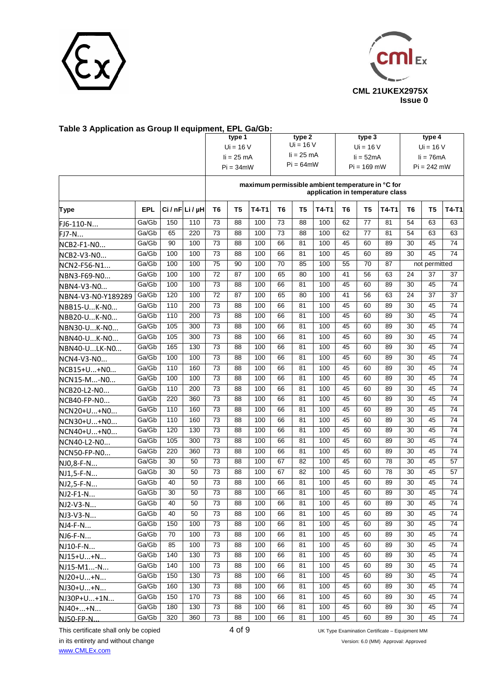



| Table 3 Application as Group II equipment, EPL Ga/Gb: |            |     |                       |                 |                |       |                |                |       |                                                                                       |                |         |                |                |                 |
|-------------------------------------------------------|------------|-----|-----------------------|-----------------|----------------|-------|----------------|----------------|-------|---------------------------------------------------------------------------------------|----------------|---------|----------------|----------------|-----------------|
|                                                       |            |     |                       |                 | type 1         |       |                | type 2         |       |                                                                                       | type 3         |         |                | type 4         |                 |
|                                                       |            |     |                       |                 | $Ui = 16 V$    |       |                | $Ui = 16 V$    |       |                                                                                       | $Ui = 16 V$    |         |                | $Ui = 16 V$    |                 |
|                                                       |            |     |                       |                 | $li = 25 mA$   |       |                | $li = 25$ mA   |       |                                                                                       | $li = 52mA$    |         |                | $li = 76mA$    |                 |
|                                                       |            |     |                       |                 | $Pi = 34$ mW   |       |                | $Pi = 64$ mW   |       |                                                                                       | $Pi = 169$ mW  |         |                | $Pi = 242$ mW  |                 |
|                                                       |            |     |                       |                 |                |       |                |                |       | maximum permissible ambient temperature in °C for<br>application in temperature class |                |         |                |                |                 |
| Type                                                  | <b>EPL</b> |     | $Ci / nF$ Li/ $\mu$ H | T6              | T <sub>5</sub> | T4-T1 | T <sub>6</sub> | T <sub>5</sub> | T4-T1 | T <sub>6</sub>                                                                        | T <sub>5</sub> | $T4-T1$ | T <sub>6</sub> | T <sub>5</sub> | T4-T1           |
| FJ6-110-N                                             | Ga/Gb      | 150 | 110                   | 73              | 88             | 100   | 73             | 88             | 100   | 62                                                                                    | 77             | 81      | 54             | 63             | 63              |
| FJ7-N                                                 | Ga/Gb      | 65  | 220                   | 73              | 88             | 100   | 73             | 88             | 100   | 62                                                                                    | 77             | 81      | 54             | 63             | 63              |
| NCB2-F1-NO                                            | Ga/Gb      | 90  | 100                   | 73              | 88             | 100   | 66             | 81             | 100   | 45                                                                                    | 60             | 89      | 30             | 45             | 74              |
| NCB2-V3-NO                                            | Ga/Gb      | 100 | 100                   | 73              | 88             | 100   | 66             | 81             | 100   | 45                                                                                    | 60             | 89      | 30             | 45             | 74              |
| NCN2-F56-N1                                           | Ga/Gb      | 100 | 100                   | 75              | 90             | 100   | 70             | 85             | 100   | 55                                                                                    | 70             | 87      |                | not permitted  |                 |
| NBN3-F69-NO                                           | Ga/Gb      | 100 | 100                   | 72              | 87             | 100   | 65             | 80             | 100   | 41                                                                                    | 56             | 63      | 24             | 37             | 37              |
| NBN4-V3-N0                                            | Ga/Gb      | 100 | 100                   | 73              | 88             | 100   | 66             | 81             | 100   | 45                                                                                    | 60             | 89      | 30             | 45             | 74              |
| NBN4-V3-N0-Y189289                                    | Ga/Gb      | 120 | 100                   | $\overline{72}$ | 87             | 100   | 65             | 80             | 100   | 41                                                                                    | 56             | 63      | 24             | 37             | 37              |
| NBB15-UK-NO                                           | Ga/Gb      | 110 | 200                   | 73              | 88             | 100   | 66             | 81             | 100   | 45                                                                                    | 60             | 89      | 30             | 45             | $\overline{74}$ |
| NBB20-UK-NO                                           | Ga/Gb      | 110 | 200                   | 73              | 88             | 100   | 66             | 81             | 100   | 45                                                                                    | 60             | 89      | 30             | 45             | 74              |
| NBN30-UK-NO                                           | Ga/Gb      | 105 | 300                   | 73              | 88             | 100   | 66             | 81             | 100   | 45                                                                                    | 60             | 89      | 30             | 45             | $\overline{74}$ |
| NBN40-UK-NO                                           | Ga/Gb      | 105 | 300                   | $\overline{73}$ | 88             | 100   | 66             | 81             | 100   | 45                                                                                    | 60             | 89      | 30             | 45             | $\overline{74}$ |
| NBN40-ULK-NO                                          | Ga/Gb      | 165 | 130                   | 73              | 88             | 100   | 66             | 81             | 100   | 45                                                                                    | 60             | 89      | 30             | 45             | 74              |
| NCN4-V3-N0                                            | Ga/Gb      | 100 | 100                   | 73              | 88             | 100   | 66             | 81             | 100   | 45                                                                                    | 60             | 89      | 30             | 45             | $\overline{74}$ |
| NCB15+U+NO                                            | Ga/Gb      | 110 | 160                   | 73              | 88             | 100   | 66             | 81             | 100   | 45                                                                                    | 60             | 89      | 30             | 45             | 74              |
| NCN15-M-N0                                            | Ga/Gb      | 100 | 100                   | $\overline{73}$ | 88             | 100   | 66             | 81             | 100   | 45                                                                                    | 60             | 89      | 30             | 45             | $\overline{74}$ |
| NCB20-L2-N0                                           | Ga/Gb      | 110 | 200                   | 73              | 88             | 100   | 66             | 81             | 100   | 45                                                                                    | 60             | 89      | 30             | 45             | 74              |
| NCB40-FP-NO                                           | Ga/Gb      | 220 | 360                   | 73              | 88             | 100   | 66             | 81             | 100   | 45                                                                                    | 60             | 89      | 30             | 45             | 74              |
| NCN20+U+NO                                            | Ga/Gb      | 110 | 160                   | 73              | 88             | 100   | 66             | 81             | 100   | 45                                                                                    | 60             | 89      | 30             | 45             | 74              |
| NCN30+U+N0                                            | Ga/Gb      | 110 | 160                   | 73              | 88             | 100   | 66             | 81             | 100   | 45                                                                                    | 60             | 89      | 30             | 45             | 74              |
| NCN40+U+NO                                            | Ga/Gb      | 120 | 130                   | 73              | 88             | 100   | 66             | 81             | 100   | 45                                                                                    | 60             | 89      | 30             | 45             | $\overline{74}$ |
| NCN40-L2-N0                                           | Ga/Gb      | 105 | 300                   | 73              | 88             | 100   | 66             | 81             | 100   | 45                                                                                    | 60             | 89      | 30             | 45             | 74              |
| NCN50-FP-N0                                           | Ga/Gb      | 220 | 360                   | 73              | 88             | 100   | 66             | 81             | 100   | 45                                                                                    | 60             | 89      | 30             | 45             | 74              |
| NJ0,8-F-N                                             | Ga/Gb      | 30  | 50                    | 73              | 88             | 100   | 67             | 82             | 100   | 45                                                                                    | 60             | 78      | 30             | 45             | 57              |
| NJ1,5-F-N                                             | Ga/Gb      | 30  | 50                    | 73              | 88             | 100   | 67             | 82             | 100   | 45                                                                                    | 60             | 78      | 30             | 45             | 57              |
| NJ2,5-F-N                                             | Ga/Gb      | 40  | 50                    | 73              | 88             | 100   | 66             | 81             | 100   | 45                                                                                    | 60             | 89      | 30             | 45             | 74              |
| NJ2-F1-N                                              | Ga/Gb      | 30  | 50                    | 73              | 88             | 100   | 66             | 81             | 100   | 45                                                                                    | 60             | 89      | 30             | 45             | 74              |
| NJ2-V3-N                                              | Ga/Gb      | 40  | 50                    | 73              | 88             | 100   | 66             | 81             | 100   | 45                                                                                    | 60             | 89      | 30             | 45             | 74              |
| NJ3-V3-N                                              | Ga/Gb      | 40  | 50                    | 73              | 88             | 100   | 66             | 81             | 100   | 45                                                                                    | 60             | 89      | 30             | 45             | 74              |
| NJ4-F-N                                               | Ga/Gb      | 150 | 100                   | 73              | 88             | 100   | 66             | 81             | 100   | 45                                                                                    | 60             | 89      | 30             | 45             | $\overline{74}$ |
| NJ6-F-N                                               | Ga/Gb      | 70  | 100                   | 73              | 88             | 100   | 66             | 81             | 100   | 45                                                                                    | 60             | 89      | 30             | 45             | 74              |
| NJ10-F-N                                              | Ga/Gb      | 85  | 100                   | 73              | 88             | 100   | 66             | 81             | 100   | 45                                                                                    | 60             | 89      | 30             | 45             | 74              |
| NJ15+U+N                                              | Ga/Gb      | 140 | 130                   | 73              | 88             | 100   | 66             | 81             | 100   | 45                                                                                    | 60             | 89      | 30             | 45             | 74              |
| NJ15-M1-N                                             | Ga/Gb      | 140 | 100                   | 73              | 88             | 100   | 66             | 81             | 100   | 45                                                                                    | 60             | 89      | 30             | 45             | 74              |
| NJ20+U+N                                              | Ga/Gb      | 150 | 130                   | 73              | 88             | 100   | 66             | 81             | 100   | 45                                                                                    | 60             | 89      | 30             | 45             | 74              |
| NJ30+U+N                                              | Ga/Gb      | 160 | 130                   | 73              | 88             | 100   | 66             | 81             | 100   | 45                                                                                    | 60             | 89      | 30             | 45             | 74              |
| NJ30P+U+1N                                            | Ga/Gb      | 150 | 170                   | 73              | 88             | 100   | 66             | 81             | 100   | 45                                                                                    | 60             | 89      | 30             | 45             | 74              |
| NJ40++N                                               | Ga/Gb      | 180 | 130                   | 73              | 88             | 100   | 66             | 81             | 100   | 45                                                                                    | 60             | 89      | 30             | 45             | $\overline{74}$ |
| NJ50-FP-N.                                            | Ga/Gb      | 320 | 360                   | 73              | 88             | 100   | 66             | 81             | 100   | 45                                                                                    | 60             | 89      | 30             | 45             | 74              |
|                                                       |            |     |                       |                 |                |       |                |                |       |                                                                                       |                |         |                |                |                 |

## **Table 3 Application as Group II equipment, EPL Ga/Gb:**

in its entirety and without change Version: 6.0 (MM) Approval: Approved

[www.CMLEx.com](http://www.cmlex.com/) 

This certificate shall only be copied  $4$  of 9 UK Type Examination Certificate – Equipment MM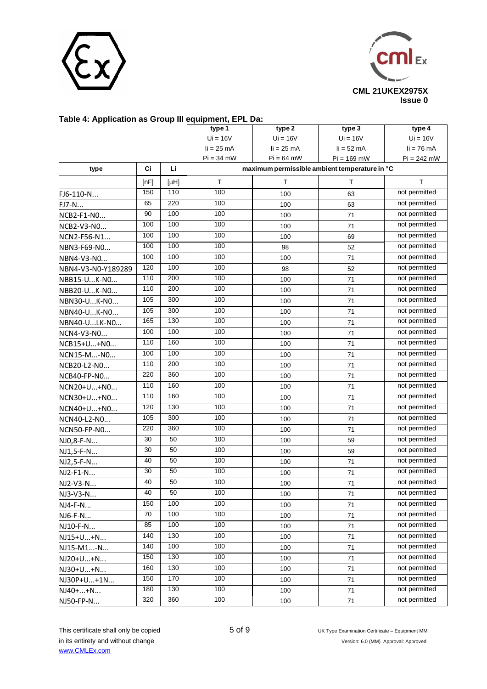



#### **Table 4: Application as Group III equipment, EPL Da:**

|                    |      |      | type 1       | type 2       | type 3                                        | type 4        |
|--------------------|------|------|--------------|--------------|-----------------------------------------------|---------------|
|                    |      |      | $Ui = 16V$   | $Ui = 16V$   | $Ui = 16V$                                    | $Ui = 16V$    |
|                    |      |      | $li = 25 mA$ | $li = 25 mA$ | $li = 52$ mA                                  | $li = 76$ mA  |
|                    |      |      | $Pi = 34$ mW | $Pi = 64$ mW | $Pi = 169$ mW                                 | $Pi = 242$ mW |
| type               | Ci   | Li   |              |              | maximum permissible ambient temperature in °C |               |
|                    | [nF] | [µH] | T.           | T.           | T.                                            | $\top$        |
| FJ6-110-N          | 150  | 110  | 100          | 100          | 63                                            | not permitted |
| FJ7-N              | 65   | 220  | 100          | 100          | 63                                            | not permitted |
| NCB2-F1-NO         | 90   | 100  | 100          | 100          | 71                                            | not permitted |
| NCB2-V3-NO         | 100  | 100  | 100          | 100          | 71                                            | not permitted |
| NCN2-F56-N1        | 100  | 100  | 100          | 100          | 69                                            | not permitted |
| NBN3-F69-N0        | 100  | 100  | 100          | 98           | 52                                            | not permitted |
| NBN4-V3-N0         | 100  | 100  | 100          | 100          | 71                                            | not permitted |
| NBN4-V3-N0-Y189289 | 120  | 100  | 100          | 98           | 52                                            | not permitted |
| NBB15-UK-NO        | 110  | 200  | 100          | 100          | 71                                            | not permitted |
| NBB20-UK-NO        | 110  | 200  | 100          | 100          | 71                                            | not permitted |
| NBN30-UK-NO        | 105  | 300  | 100          | 100          | 71                                            | not permitted |
| NBN40-UK-NO        | 105  | 300  | 100          | 100          | 71                                            | not permitted |
| NBN40-ULK-NO       | 165  | 130  | 100          | 100          | 71                                            | not permitted |
| NCN4-V3-N0         | 100  | 100  | 100          | 100          | 71                                            | not permitted |
| NCB15+U+NO         | 110  | 160  | 100          | 100          | 71                                            | not permitted |
| NCN15-M-NO         | 100  | 100  | 100          | 100          | 71                                            | not permitted |
| NCB20-L2-N0        | 110  | 200  | 100          | 100          | 71                                            | not permitted |
| NCB40-FP-NO        | 220  | 360  | 100          | 100          | 71                                            | not permitted |
| NCN20+U+NO         | 110  | 160  | 100          | 100          | 71                                            | not permitted |
| NCN30+U+NO         | 110  | 160  | 100          | 100          | 71                                            | not permitted |
| NCN40+U+NO         | 120  | 130  | 100          | 100          | 71                                            | not permitted |
| NCN40-L2-N0        | 105  | 300  | 100          | 100          | 71                                            | not permitted |
| NCN50-FP-NO        | 220  | 360  | 100          | 100          | 71                                            | not permitted |
| NJ0,8-F-N          | 30   | 50   | 100          | 100          | 59                                            | not permitted |
| NJ1,5-F-N          | 30   | 50   | 100          | 100          | 59                                            | not permitted |
| NJ2,5-F-N          | 40   | 50   | 100          | 100          | 71                                            | not permitted |
| NJ2-F1-N           | 30   | 50   | 100          | 100          | 71                                            | not permitted |
| NJ2-V3-N           | 40   | 50   | 100          | 100          | 71                                            | not permitted |
| NJ3-V3-N           | 40   | 50   | 100          | 100          | 71                                            | not permitted |
| NJ4-F-N            | 150  | 100  | 100          | 100          | 71                                            | not permitted |
| NJ6-F-N            | 70   | 100  | 100          | 100          | 71                                            | not permitted |
| NJ10-F-N           | 85   | 100  | 100          | 100          | 71                                            | not permitted |
| NJ15+U+N           | 140  | 130  | 100          | 100          | 71                                            | not permitted |
| NJ15-M1-N          | 140  | 100  | 100          | 100          | 71                                            | not permitted |
| NJ20+U+N           | 150  | 130  | 100          | 100          | 71                                            | not permitted |
| NJ30+U+N           | 160  | 130  | 100          | 100          | 71                                            | not permitted |
| NJ30P+U+1N         | 150  | 170  | 100          | 100          | 71                                            | not permitted |
| NJ40++N            | 180  | 130  | 100          | 100          | 71                                            | not permitted |
| NJ50-FP-N          | 320  | 360  | 100          | 100          | 71                                            | not permitted |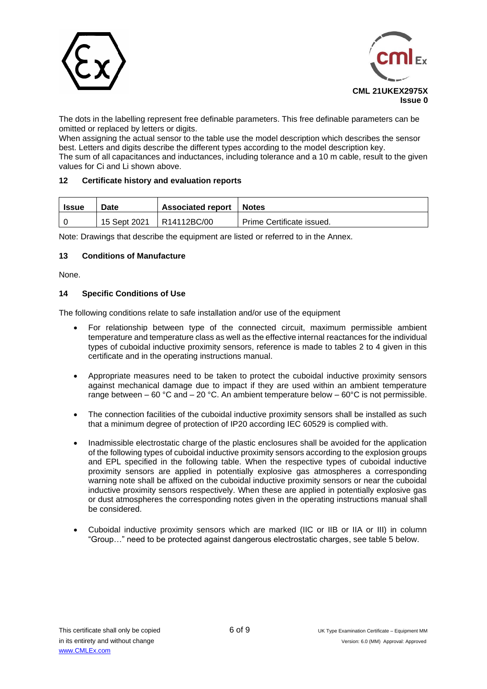



The dots in the labelling represent free definable parameters. This free definable parameters can be omitted or replaced by letters or digits.

When assigning the actual sensor to the table use the model description which describes the sensor best. Letters and digits describe the different types according to the model description key.

The sum of all capacitances and inductances, including tolerance and a 10 m cable, result to the given values for Ci and Li shown above.

#### **12 Certificate history and evaluation reports**

| Issue | Date         | <b>Associated report</b> | <b>Notes</b>              |
|-------|--------------|--------------------------|---------------------------|
|       | 15 Sept 2021 | R <sub>14112</sub> BC/00 | Prime Certificate issued. |

Note: Drawings that describe the equipment are listed or referred to in the Annex.

#### **13 Conditions of Manufacture**

None.

#### **14 Specific Conditions of Use**

The following conditions relate to safe installation and/or use of the equipment

- For relationship between type of the connected circuit, maximum permissible ambient temperature and temperature class as well as the effective internal reactances for the individual types of cuboidal inductive proximity sensors, reference is made to tables 2 to 4 given in this certificate and in the operating instructions manual.
- Appropriate measures need to be taken to protect the cuboidal inductive proximity sensors against mechanical damage due to impact if they are used within an ambient temperature range between – 60 °C and – 20 °C. An ambient temperature below – 60°C is not permissible.
- The connection facilities of the cuboidal inductive proximity sensors shall be installed as such that a minimum degree of protection of IP20 according IEC 60529 is complied with.
- Inadmissible electrostatic charge of the plastic enclosures shall be avoided for the application of the following types of cuboidal inductive proximity sensors according to the explosion groups and EPL specified in the following table. When the respective types of cuboidal inductive proximity sensors are applied in potentially explosive gas atmospheres a corresponding warning note shall be affixed on the cuboidal inductive proximity sensors or near the cuboidal inductive proximity sensors respectively. When these are applied in potentially explosive gas or dust atmospheres the corresponding notes given in the operating instructions manual shall be considered.
- Cuboidal inductive proximity sensors which are marked (IIC or IIB or IIA or III) in column "Group…" need to be protected against dangerous electrostatic charges, see table 5 below.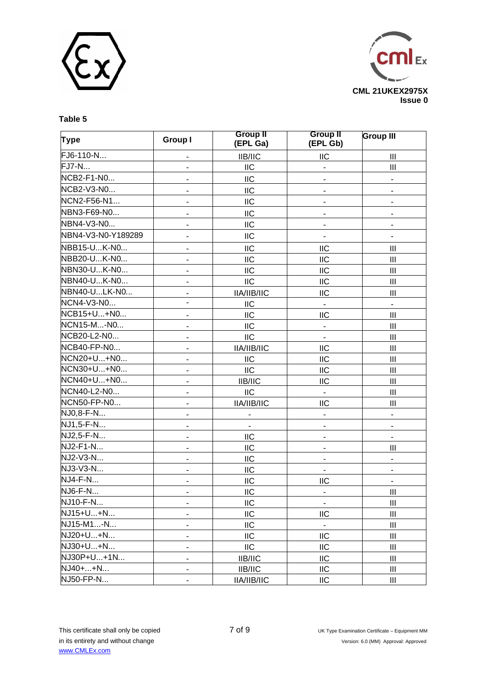



### **Table 5**

| <b>Type</b>        | <b>Group I</b>               | <b>Group II</b><br>(EPL Ga) | <b>Group II</b><br>(EPL Gb) | <b>Group III</b>            |
|--------------------|------------------------------|-----------------------------|-----------------------------|-----------------------------|
| FJ6-110-N          |                              | <b>IIB/IIC</b>              | IIC                         | Ш                           |
| <b>FJ7-N</b>       | $\blacksquare$               | IIC                         | $\overline{\phantom{a}}$    | III                         |
| NCB2-F1-N0         |                              | <b>IIC</b>                  |                             | $\overline{\phantom{0}}$    |
| NCB2-V3-N0         | $\overline{\phantom{a}}$     | IIC                         | ۰                           | $\overline{\phantom{0}}$    |
| NCN2-F56-N1        | $\overline{\phantom{a}}$     | IIC                         | ٠                           | $\blacksquare$              |
| NBN3-F69-N0        |                              | <b>IIC</b>                  |                             |                             |
| NBN4-V3-N0         | $\overline{\phantom{a}}$     | IIC                         | -                           | Ξ.                          |
| NBN4-V3-N0-Y189289 |                              | <b>IIC</b>                  | -                           |                             |
| NBB15-UK-N0        | $\overline{\phantom{a}}$     | IIC                         | IIC                         | $\mathbf{III}$              |
| NBB20-UK-N0        | $\overline{\phantom{a}}$     | <b>IIC</b>                  | <b>IIC</b>                  | Ш                           |
| NBN30-UK-N0        | $\blacksquare$               | IIC                         | IIC                         | $\mathbf{III}$              |
| NBN40-UK-N0        |                              | <b>IIC</b>                  | <b>IIC</b>                  | III                         |
| NBN40-ULK-N0       | $\blacksquare$               | IIA/IIB/IIC                 | IIC                         | $\mathbf{III}$              |
| NCN4-V3-N0         |                              | IIC                         | $\blacksquare$              | $\blacksquare$              |
| NCB15+U+N0         | $\overline{\phantom{a}}$     | <b>IIC</b>                  | IIC                         | $\mathbf{III}$              |
| NCN15-M-NO         | $\blacksquare$               | <b>IIC</b>                  | -                           | $\mathbf{III}$              |
| NCB20-L2-N0        | $\frac{1}{2}$                | <b>IIC</b>                  | $\overline{\phantom{a}}$    | $\mathbf{III}$              |
| NCB40-FP-N0        | $\overline{\phantom{a}}$     | IIA/IIB/IIC                 | <b>IIC</b>                  | Ш                           |
| NCN20+U+N0         | $\overline{\phantom{a}}$     | IIC                         | IIC                         | $\mathop{\rm III}\nolimits$ |
| NCN30+U+N0         | $\overline{\phantom{a}}$     | $\mathsf{IIC}$              | <b>IIC</b>                  | III                         |
| NCN40+U+N0         | $\overline{\phantom{a}}$     | IIB/IIC                     | IIC                         | $\mathbf{III}$              |
| NCN40-L2-N0        | $\blacksquare$               | <b>IIC</b>                  | $\blacksquare$              | Ш                           |
| NCN50-FP-N0        | $\overline{\phantom{a}}$     | IIA/IIB/IIC                 | <b>IIC</b>                  | $\mathbf{III}$              |
| NJ0,8-F-N          | $\overline{\phantom{a}}$     | $\blacksquare$              | ٠                           | $\blacksquare$              |
| NJ1,5-F-N          | $\frac{1}{2}$                | $\blacksquare$              |                             | $\overline{\phantom{a}}$    |
| NJ2,5-F-N          | $\blacksquare$               | IIC                         | ۰                           | ۰                           |
| NJ2-F1-N           | $\overline{\phantom{a}}$     | <b>IIC</b>                  | $\overline{\phantom{0}}$    | $\mathbf{III}$              |
| NJ2-V3-N           | $\overline{\phantom{a}}$     | <b>IIC</b>                  |                             | ÷.                          |
| NJ3-V3-N           | $\frac{1}{2}$                | $\mathsf{IIC}$              |                             | $\overline{\phantom{a}}$    |
| NJ4-F-N            | $\qquad \qquad \blacksquare$ | IIC                         | IIC                         | ۰                           |
| NJ6-F-N            | $\overline{\phantom{a}}$     | $\mathsf{IIC}$              | $\blacksquare$              | $\mathbf{III}$              |
| NJ10-F-N           | $\overline{\phantom{a}}$     | IIC                         |                             | $\mathbf{III}$              |
| NJ15+U+N           | $\overline{\phantom{a}}$     | <b>IIC</b>                  | IIC                         | $\mathbf{III}$              |
| NJ15-M1-N          | $\qquad \qquad \blacksquare$ | IIC                         | $\sim$                      | Ш                           |
| NJ20+U+N           | $\overline{\phantom{a}}$     | IIC                         | IIC                         | $\mathbf{III}$              |
| NJ30+U+N           | $\blacksquare$               | IIC                         | <b>IIC</b>                  | Ш                           |
| NJ30P+U+1N         | $\overline{\phantom{a}}$     | IIB/IIC                     | IIC                         | Ш                           |
| NJ40++N            | ۰                            | IIB/IIC                     | <b>IIC</b>                  | Ш                           |
| NJ50-FP-N          | $\overline{a}$               | IIA/IIB/IIC                 | IIC                         | Ш                           |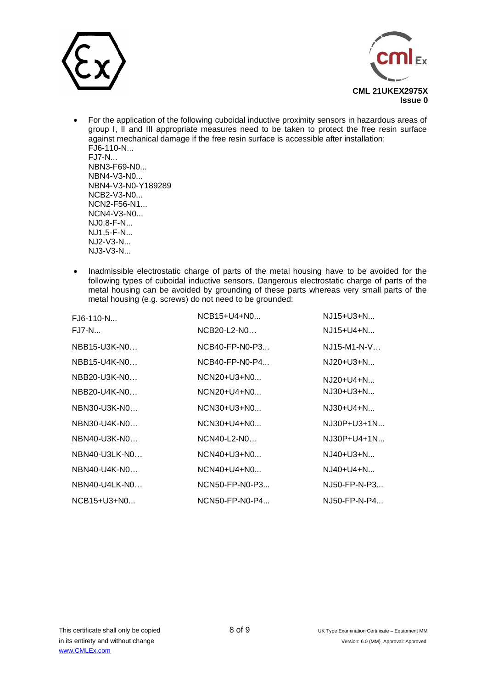



- For the application of the following cuboidal inductive proximity sensors in hazardous areas of group I, II and III appropriate measures need to be taken to protect the free resin surface against mechanical damage if the free resin surface is accessible after installation: FJ6-110-N... FJ7-N... NBN3-F69-N0... NBN4-V3-N0... NBN4-V3-N0-Y189289 NCB2-V3-N0... NCN2-F56-N1... NCN4-V3-N0... NJ0,8-F-N... NJ1,5-F-N... NJ2-V3-N... NJ3-V3-N...
- Inadmissible electrostatic charge of parts of the metal housing have to be avoided for the following types of cuboidal inductive sensors. Dangerous electrostatic charge of parts of the metal housing can be avoided by grounding of these parts whereas very small parts of the metal housing (e.g. screws) do not need to be grounded:

| $FJ6-110-N$     | $NCB15+U4+N0$    | $NJ15+U3+N$    |
|-----------------|------------------|----------------|
| <b>FJ7-N</b>    | NCB20-L2-N0      | NJ15+U4+N      |
| NBB15-U3K-N0    | $NCB40-FP-N0-P3$ | $NJ15-M1-N-V$  |
| NBB15-U4K-N0    | $NCB40-FP-N0-P4$ | NJ20+U3+N      |
| NBB20-U3K-N0    | NCN20+U3+N0      | NJ20+U4+N      |
| NBB20-U4K-N0    | $NCN20+U4+N0$    | NJ30+U3+N      |
| NBN30-U3K-N0    | NCN30+U3+N0      | NJ30+U4+N      |
| NBN30-U4K-N0    | $NCN30+U4+N0$    | NJ30P+U3+1N    |
| NBN40-U3K-NO    | $NCN40-L2-N0$    | NJ30P+U4+1N    |
| NBN40-U3LK-N0   | $NCN40+U3+N0$    | $NJ40+U3+N$    |
| NBN40-U4K-N0    | $NCN40+U4+N0$    | NJ40+U4+N      |
| $NBN40-U4LK-N0$ | NCN50-FP-N0-P3   | NJ50-FP-N-P3   |
| $NCB15+U3+N0$   | $NCN50-FP-N0-P4$ | $NJ50-FP-N-P4$ |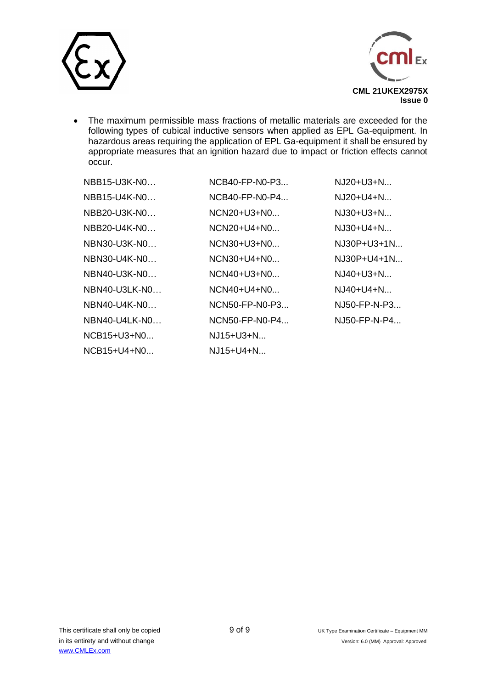



• The maximum permissible mass fractions of metallic materials are exceeded for the following types of cubical inductive sensors when applied as EPL Ga-equipment. In hazardous areas requiring the application of EPL Ga-equipment it shall be ensured by appropriate measures that an ignition hazard due to impact or friction effects cannot occur.

| NBB15-U3K-N0   | $NCB40-FP-N0-P3$ | NJ20+U3+N     |
|----------------|------------------|---------------|
| NBB15-U4K-N0   | NCB40-FP-N0-P4   | $NJ20+U4+N$   |
| $NBB20-U3K-N0$ | $NCN20+U3+N0$    | $N.J30+U3+N$  |
| $NBB20-U4K-N0$ | $NCN20+U4+N0$    | $N.J30+U4+N$  |
| NBN30-U3K-N0   | NCN30+U3+N0      | NJ30P+U3+1N   |
| NBN30-U4K-N0   | NCN30+U4+N0      | $NJ30P+U4+1N$ |
| NBN40-U3K-N0   | $NCN40+U3+N0$    | $NJ40+U3+N$   |
| NBN40-U3LK-N0  | $NCN40+U4+N0$    | $NJ40+U4+N$   |
| $NBN40-U4K-N0$ | NCN50-FP-N0-P3   | NJ50-FP-N-P3  |
| NBN40-U4LK-N0  | NCN50-FP-N0-P4   | NJ50-FP-N-P4  |
| NCB15+U3+N0    | $NJ15+U3+N$      |               |
| $NCB15+U4+N0$  | $NJ15+U4+N$      |               |